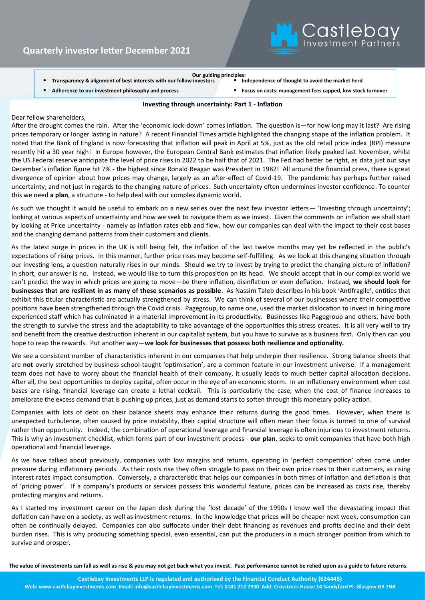

**Transparency & alignment of best interests with our fellow investors** 

**Our guiding principles:**

• **Adherence to our investment philosophy and process** • **Focus on costs: management fees capped, low stock turnover**

### **Investing through uncertainty: Part 1 - Inflation**

#### Dear fellow shareholders,

After the drought comes the rain. After the 'economic lock-down' comes inflation. The question is—for how long may it last? Are rising prices temporary or longer lasting in nature? A recent Financial Times article highlighted the changing shape of the inflation problem. It noted that the Bank of England is now forecasting that inflation will peak in April at 5%, just as the old retail price index (RPI) measure recently hit a 30 year high! In Europe however, the European Central Bank estimates that inflation likely peaked last November, whilst the US Federal reserve anticipate the level of price rises in 2022 to be half that of 2021. The Fed had better be right, as data just out says December's inflation figure hit 7% - the highest since Ronald Reagan was President in 1982! All around the financial press, there is great divergence of opinion about how prices may change, largely as an after-effect of Covid-19. The pandemic has perhaps further raised uncertainty; and not just in regards to the changing nature of prices. Such uncertainty often undermines investor confidence. To counter this we need **a plan**, a structure - to help deal with our complex dynamic world.

As such we thought it would be useful to embark on a new series over the next few investor letters— 'Investing through uncertainty'; looking at various aspects of uncertainty and how we seek to navigate them as we invest. Given the comments on inflation we shall start by looking at Price uncertainty - namely as inflation rates ebb and flow, how our companies can deal with the impact to their cost bases and the changing demand patterns from their customers and clients.

As the latest surge in prices in the UK is still being felt, the inflation of the last twelve months may yet be reflected in the public's expectations of rising prices. In this manner, further price rises may become self-fulfilling. As we look at this changing situation through our investing lens, a question naturally rises in our minds. Should we try to invest by trying to predict the changing picture of inflation? In short, our answer is no. Instead, we would like to turn this proposition on its head. We should accept that in our complex world we can't predict the way in which prices are going to move—be there inflation, disinflation or even deflation. Instead, **we should look for businesses that are resilient in as many of these scenarios as possible**. As Nassim Taleb describes in his book 'Antifragile', entities that exhibit this titular characteristic are actually strengthened by stress. We can think of several of our businesses where their competitive positions have been strengthened through the Covid crisis. Pagegroup, to name one, used the market dislocation to invest in hiring more experienced staff which has culminated in a material improvement in its productivity. Businesses like Pagegroup and others, have both the strength to survive the stress and the adaptability to take advantage of the opportunities this stress creates. It is all very well to try and benefit from the creative destruction inherent in our capitalist system, but you have to survive as a business first. Only then can you hope to reap the rewards. Put another way—**we look for businesses that possess both resilience and optionality.** 

We see a consistent number of characteristics inherent in our companies that help underpin their resilience. Strong balance sheets that are **not** overly stretched by business school-taught 'optimisation', are a common feature in our investment universe. If a management team does not have to worry about the financial health of their company, it usually leads to much better capital allocation decisions. After all, the best opportunities to deploy capital, often occur in the eye of an economic storm. In an inflationary environment when cost bases are rising, financial leverage can create a lethal cocktail. This is particularly the case, when the cost of finance increases to ameliorate the excess demand that is pushing up prices, just as demand starts to soften through this monetary policy action.

Companies with lots of debt on their balance sheets may enhance their returns during the good times. However, when there is unexpected turbulence, often caused by price instability, their capital structure will often mean their focus is turned to one of survival rather than opportunity. Indeed, the combination of operational leverage and financial leverage is often injurious to investment returns. This is why an investment checklist, which forms part of our investment process - **our plan**, seeks to omit companies that have both high operational and financial leverage.

As we have talked about previously, companies with low margins and returns, operating in 'perfect competition' often come under pressure during inflationary periods. As their costs rise they often struggle to pass on their own price rises to their customers, as rising interest rates impact consumption. Conversely, a characteristic that helps our companies in both times of inflation and deflation is that of 'pricing power'. If a company's products or services possess this wonderful feature, prices can be increased as costs rise, thereby protecting margins and returns.

As I started my investment career on the Japan desk during the 'lost decade' of the 1990s I know well the devastating impact that deflation can have on a society, as well as investment returns. In the knowledge that prices will be cheaper next week, consumption can often be continually delayed. Companies can also suffocate under their debt financing as revenues and profits decline and their debt burden rises. This is why producing something special, even essential, can put the producers in a much stronger position from which to survive and prosper.

**The value of investments can fall as well as rise & you may not get back what you invest. Past performance cannot be relied upon as a guide to future returns.**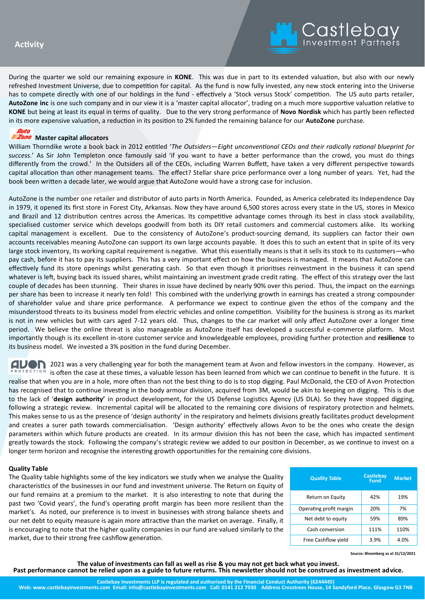

During the quarter we sold our remaining exposure in **KONE**. This was due in part to its extended valuation, but also with our newly refreshed Investment Universe, due to competition for capital. As the fund is now fully invested, any new stock entering into the Universe has to compete directly with one of our holdings in the fund - effectively a 'Stock versus Stock' competition. The US auto parts retailer, **AutoZone inc** is one such company and in our view it is a 'master capital allocator', trading on a much more supportive valuation relative to **KONE** but being at least its equal in terms of quality. Due to the very strong performance of **Novo Nordisk** which has partly been reflected in its more expensive valuation, a reduction in its position to 2% funded the remaining balance for our **AutoZone** purchase.

# **Auto**<br>**MZone** Master capital allocators

William Thorndike wrote a book back in 2012 entitled '*The Outsiders—Eight unconventional CEOs and their radically rational blueprint for success.*' As Sir John Templeton once famously said 'if you want to have a better performance than the crowd, you must do things differently from the crowd.' In the Outsiders all of the CEOs, including Warren Buffett, have taken a very different perspective towards capital allocation than other management teams. The effect? Stellar share price performance over a long number of years. Yet, had the book been written a decade later, we would argue that AutoZone would have a strong case for inclusion.

AutoZone is the number one retailer and distributor of auto parts in North America. Founded, as America celebrated its Independence Day in 1979, it opened its first store in Forest City, Arkansas. Now they have around 6,500 stores across every state in the US, stores in Mexico and Brazil and 12 distribution centres across the Americas. Its competitive advantage comes through its best in class stock availability, specialised customer service which develops goodwill from both its DIY retail customers and commercial customers alike. Its working capital management is excellent. Due to the consistency of AutoZone's product-sourcing demand, its suppliers can factor their own accounts receivables meaning AutoZone can support its own large accounts payable. It does this to such an extent that in spite of its very large stock inventory, its working capital requirement is negative. What this essentially means is that it sells its stock to its customers—who pay cash, before it has to pay its suppliers. This has a very important effect on how the business is managed. It means that AutoZone can effectively fund its store openings whilst generating cash. So that even though it prioritises reinvestment in the business it can spend whatever is left, buying back its issued shares, whilst maintaining an investment grade credit rating. The effect of this strategy over the last couple of decades has been stunning. Their shares in issue have declined by nearly 90% over this period. Thus, the impact on the earnings per share has been to increase it nearly ten fold! This combined with the underlying growth in earnings has created a strong compounder of shareholder value and share price performance. A performance we expect to continue given the ethos of the company and the misunderstood threats to its business model from electric vehicles and online competition. Visibility for the business is strong as its market is not in new vehicles but with cars aged 7-12 years old. Thus, changes to the car market will only affect AutoZone over a longer time period. We believe the online threat is also manageable as AutoZone itself has developed a successful e-commerce platform. Most importantly though is its excellent in-store customer service and knowledgeable employees, providing further protection and **resilience** to its business model. We invested a 3% position in the fund during December.

2021 was a very challenging year for both the management team at Avon and fellow investors in the company. However, as  $PROTEGTIO$  is often the case at these times, a valuable lesson has been learned from which we can continue to benefit in the future. It is realise that when you are in a hole, more often than not the best thing to do is to stop digging. Paul McDonald, the CEO of Avon Protection has recognised that to continue investing in the body armour division, acquired from 3M, would be akin to keeping on digging. This is due to the lack of '**design authority'** in product development, for the US Defense Logistics Agency (US DLA). So they have stopped digging, following a strategic review. Incremental capital will be allocated to the remaining core divisions of respiratory protection and helmets. This makes sense to us as the presence of 'design authority' in the respiratory and helmets divisions greatly facilitates product development and creates a surer path towards commercialisation. 'Design authority' effectively allows Avon to be the ones who create the design parameters within which future products are created. In its armour division this has not been the case, which has impacted sentiment greatly towards the stock. Following the company's strategic review we added to our position in December, as we continue to invest on a longer term horizon and recognise the interesting growth opportunities for the remaining core divisions.

#### **Quality Table**

The Quality table highlights some of the key indicators we study when we analyse the Quality characteristics of the businesses in our fund and investment universe. The Return on Equity of our fund remains at a premium to the market. It is also interesting to note that during the past two 'Covid years', the fund's operating profit margin has been more resilient than the market's. As noted, our preference is to invest in businesses with strong balance sheets and our net debt to equity measure is again more attractive than the market on average. Finally, it is encouraging to note that the higher quality companies in our fund are valued similarly to the market, due to their strong free cashflow generation.

| <b>Quality Table</b>    | Castlebay<br><b>Fund</b> | <b>Market</b> |
|-------------------------|--------------------------|---------------|
| Return on Equity        | 42%                      | 19%           |
| Operating profit margin | 20%                      | 7%            |
| Net debt to equity      | 59%                      | 89%           |
| Cash conversion         | 111%                     | 110%          |
| Free Cashflow yield     | 3.9%                     | 4.0%          |

**Source: Bloomberg as at 31/12/2021**

**The value of investments can fall as well as rise & you may not get back what you invest.** 

## **Past performance cannot be relied upon as a guide to future returns. This newsletter should not be construed as investment advice.**